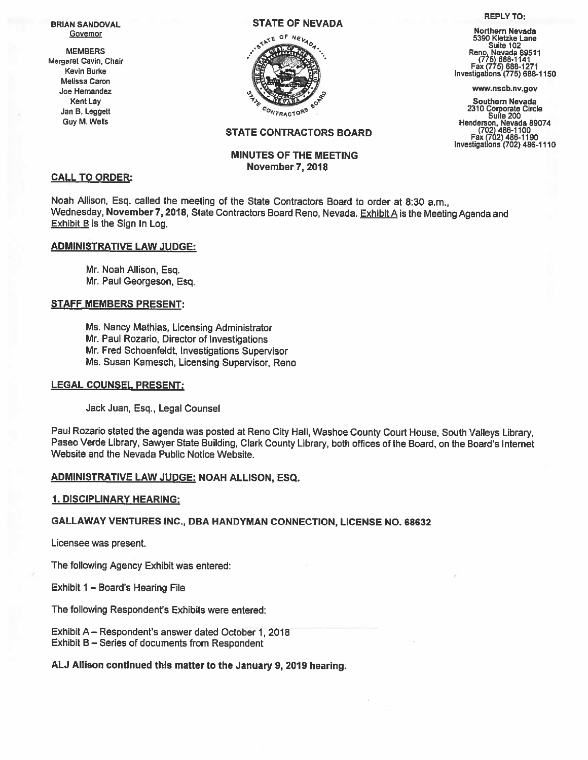Melissa Caron —



#### REPLY TO:

Northern Nevada Reno, Nevada 89511<br>(775) 688-1141<br>Fax (775) 688-1271 Margaret Cavin, Chair Fax (715) 688-1141<br>Kevin Burke Investigations (775) 688-1271 Fax (775) 688-1150<br>Investigations (775) 688-1150

Kent Lay Southern Nevada<br>
m B. Leggett Southern Nevada<br>
Southern Nevada<br>
Suite 200 e 2310 Corporate Circle Jan B. Leggett All the Suite Comporate Circle Suite 200 Corporate Circle Suite 200 Suite 200<br>Guy M. Wells Henderson, Nevada 89074 30016 - 30016<br>
Henderson, Nevada 89074<br>
(702) 486-1100<br>
Fax (702) 486-1190<br>
Investigations (702) 486-1110

# STATE CONTRACTORS BOARD

# MINUTES OF THE MEETING November 7, 2018

## CALL TO ORDER:

Noah Allison, Esq. called the meeting of the State Contractors Board to order at 8:30 a.m., Wednesday, November 7, 2018, State Contractors Board Reno, Nevada. Exhibit A is the Meeting Agenda and Exhibit B is the Sign In Log.

## ADMINISTRATIVE LAW JUDGE:

Mr. Noah Allison, Esq. Mr. Paul Georgeson, Esq.

## STAFF MEMBERS PRESENT:

Ms. Nancy Mathias, Licensing Administrator Mr. Paul Rozario, Director of Investigations Mr. Fred Schoenfeldt, Investigations Supervisor Ms. Susan Kamesch, Licensing Supervisor, Reno

#### LEGAL COUNSEL PRESENT:

Jack Juan, Esq., Legal Counsel

Paul Rozario stated the agenda was posted at Reno City Hall, Washoe County Court House, South Valleys Library, Paseo Verde Library, Sawyer State Building, Clark County Library, both offices of the Board, on the Board's Internet Website and the Nevada Public Notice Website.

## ADMINISTRATIVE LAW JUDGE: NOAH ALLISON, ESO.

## 1. DISCIPLINARY HEARING:

## GALLAWAY VENTURES INC., DBA HANDYMAN CONNECTION, LICENSE NO. 68632

Licensee was present.

The following Agency Exhibit was entered:

Exhibit 1 — Board's Hearing File

The following Respondent's Exhibits were entered:

Exhibit A — Respondent's answer dated October 1, 2018 Exhibit <sup>B</sup> — Series of documents from Respondent

## AU Allison continued this matter to the January 9,2019 hearing.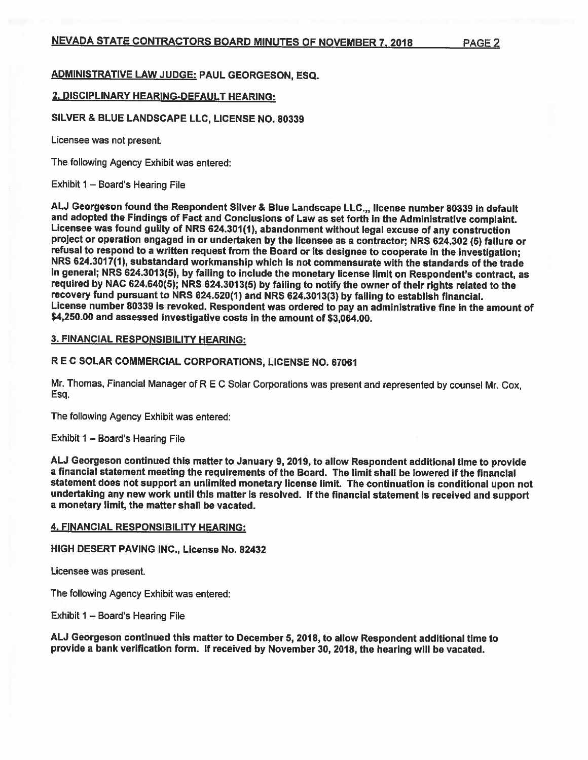# ADMINISTRATIVE LAW JUDGE: PAUL GEORGESON, ESQ.

## 2. DISCIPLINARY HEARING-DEFAULT HEARING:

#### SILVER & BLUE LANDSCAPE LLC, LICENSE NO. 80339

Licensee was not present.

The following Agency Exhibit was entered:

Exhibit  $1 -$  Board's Hearing File

ALJ Georgeson found the Respondent Silver & Blue Landscape LLC.,, license number 80339 in default<br>and adopted the Findings of Fact and Conclusions of Law as set forth in the Administrative complaint. Licensee was found guilty of NRS 624.301(1), abandonment without legal excuse of any construction<br>project or operation engaged in or undertaken by the licensee as a contractor; NRS 624.302 (5) failure or<br>refusal to respond in general; NRS 624.3013(5), by failing to include the monetary license limit on Respondent's contract, as required by NAC 624.640(5); NRS 624.3013(5) by failing to notify the owner of their rights related to the<br>recovery fund pursuant to NRS 624.520(1) and NRS 624.3013(3) by failing to establish financial. License number 80339 is revoked. Respondent was ordered to pay an administrative fine in the amount of<br>\$4,250.00 and assessed investigative costs in the amount of \$3,064.00.

#### 3. FINANCIAL RESPONSIBILITY HEARING:

# <sup>R</sup> <sup>E</sup> C SOLAR COMMERCIAL CORPORATIONS, LICENSE NO. 67061

Mr. Thomas, Financial Manager of <sup>R</sup> <sup>E</sup> <sup>C</sup> Solar Corporations was present and represented by counsel Mr. Cox, Esq.

The following Agency Exhibit was entered:

#### Exhibit 1 — Board's Hearing File

AU Georgeson continued this matter to January 9,2019, to allow Respondent additional time to provide <sup>a</sup> financial statement meeting the requirements of the Board. The limit shall be lowered if the financial statement does not support an unlimited monetary license limit. The continuation is conditional upon not<br>undertaking any new work until this matter is resolved. If the financial statement is received and support <sup>a</sup> monetary limit, the matter shall be vacated.

#### 4. FINANCIAL RESPONSIBILITY HEARING:

#### HIGH DESERT PAVING INC., License No. 82432

Licensee was present.

The following Agency Exhibit was entered:

Exhibit 1 — Board's Hearing File

AU Georgeson continued this matter to December 5, 2018, to allow Respondent additional time to provide <sup>a</sup> bank verification form. If received by November 30, 2018, the hearing will be vacated.